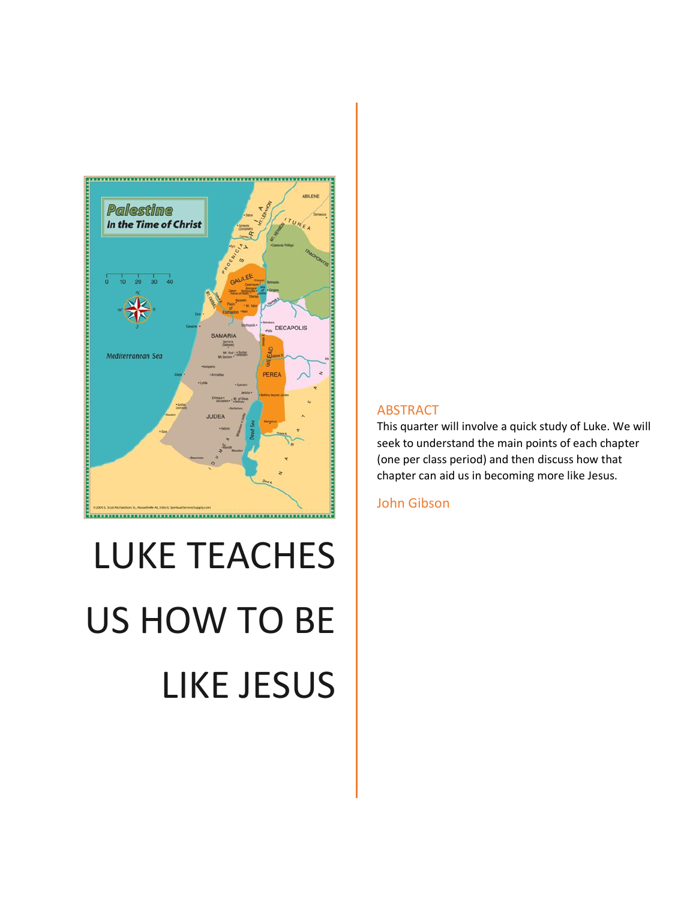

# LUKE TEACHES US HOW TO BE LIKE JESUS

#### ABSTRACT

This quarter will involve a quick study of Luke. We will seek to understand the main points of each chapter (one per class period) and then discuss how that chapter can aid us in becoming more like Jesus.

John Gibson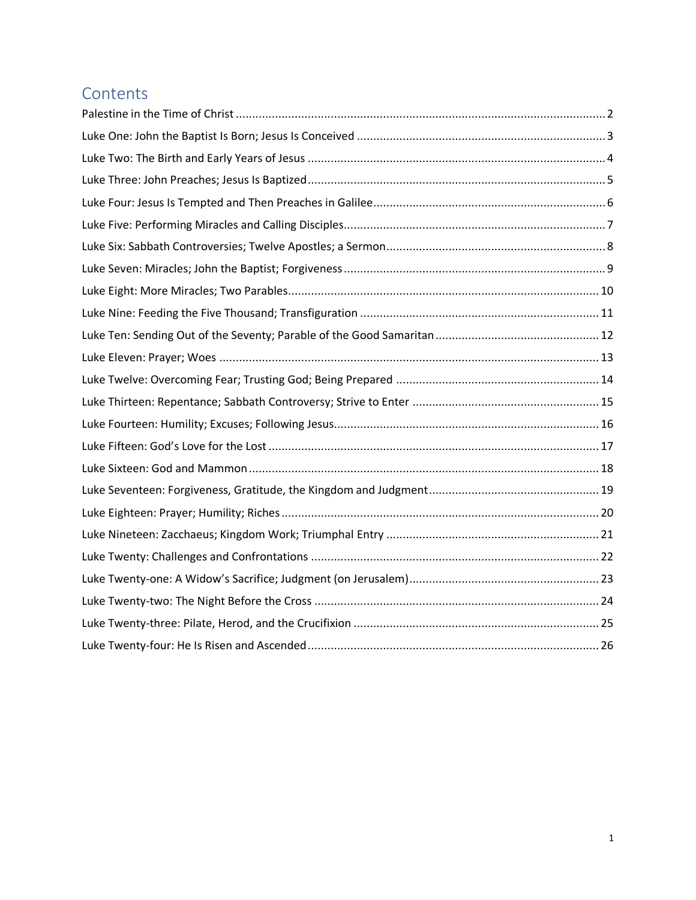# **Contents**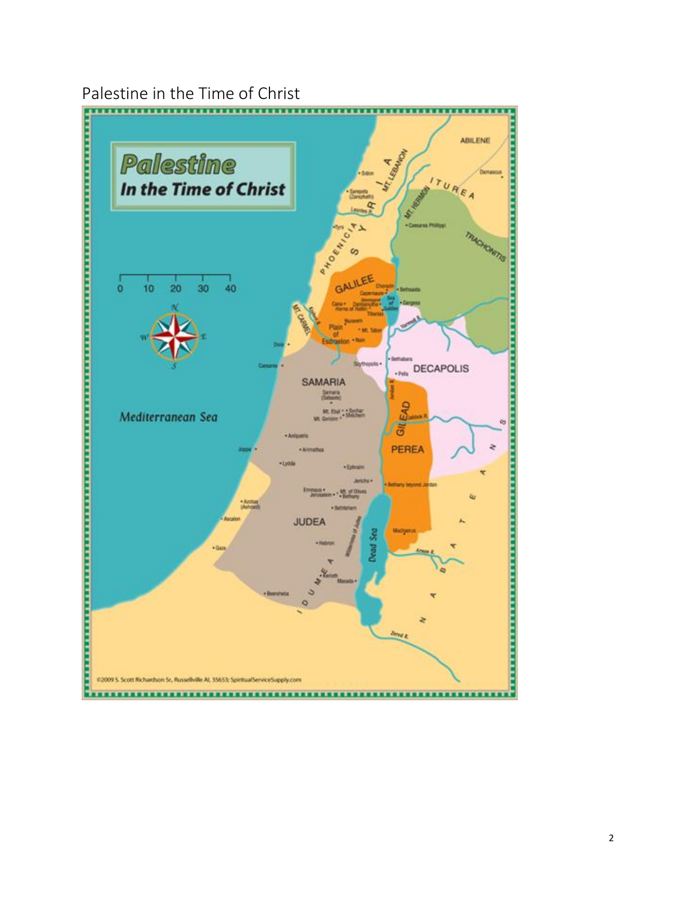<span id="page-2-0"></span>Palestine in the Time of Christ



2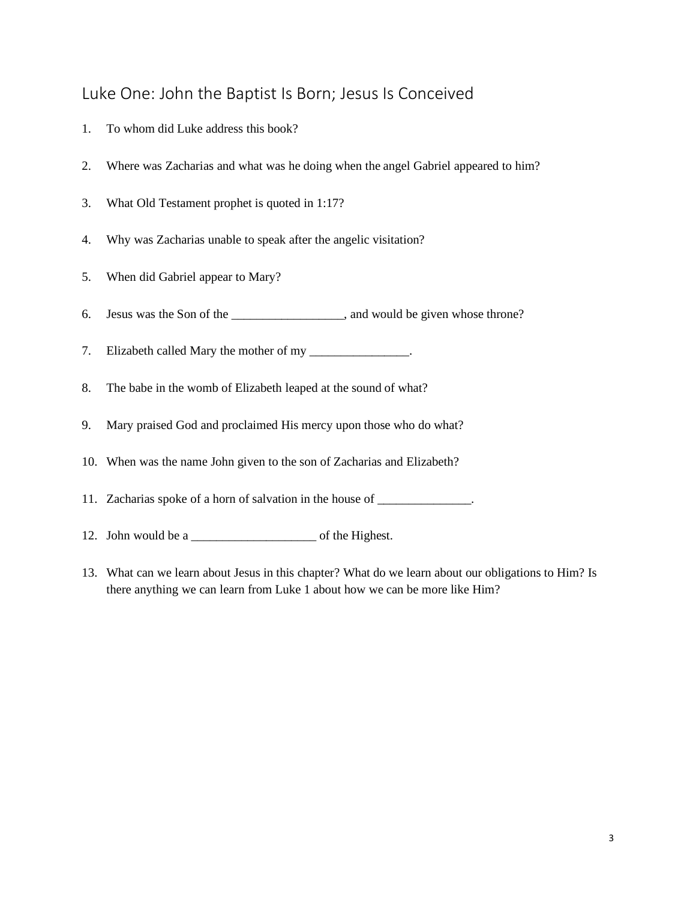#### <span id="page-3-0"></span>Luke One: John the Baptist Is Born; Jesus Is Conceived

- 1. To whom did Luke address this book?
- 2. Where was Zacharias and what was he doing when the angel Gabriel appeared to him?
- 3. What Old Testament prophet is quoted in 1:17?
- 4. Why was Zacharias unable to speak after the angelic visitation?
- 5. When did Gabriel appear to Mary?
- 6. Jesus was the Son of the \_\_\_\_\_\_\_\_\_\_\_\_\_\_\_\_\_\_, and would be given whose throne?
- 7. Elizabeth called Mary the mother of my \_\_\_\_\_\_\_\_\_\_\_\_\_\_\_.
- 8. The babe in the womb of Elizabeth leaped at the sound of what?
- 9. Mary praised God and proclaimed His mercy upon those who do what?
- 10. When was the name John given to the son of Zacharias and Elizabeth?
- 11. Zacharias spoke of a horn of salvation in the house of \_\_\_\_\_\_\_\_\_\_\_\_\_\_.
- 12. John would be a \_\_\_\_\_\_\_\_\_\_\_\_\_\_\_\_\_\_\_\_ of the Highest.
- 13. What can we learn about Jesus in this chapter? What do we learn about our obligations to Him? Is there anything we can learn from Luke 1 about how we can be more like Him?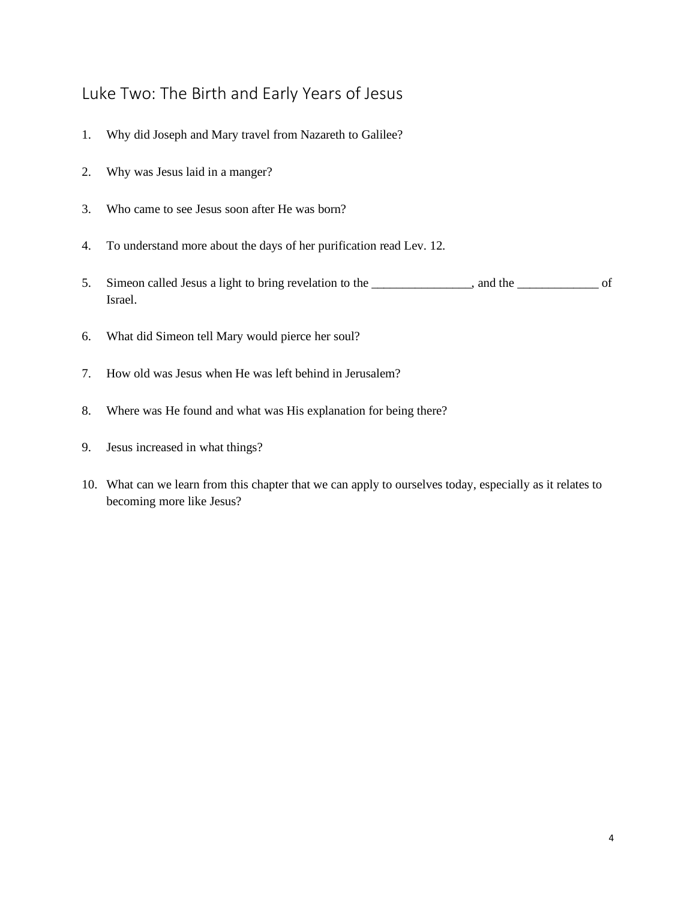#### <span id="page-4-0"></span>Luke Two: The Birth and Early Years of Jesus

- 1. Why did Joseph and Mary travel from Nazareth to Galilee?
- 2. Why was Jesus laid in a manger?
- 3. Who came to see Jesus soon after He was born?
- 4. To understand more about the days of her purification read Lev. 12.
- 5. Simeon called Jesus a light to bring revelation to the \_\_\_\_\_\_\_\_\_\_\_\_, and the \_\_\_\_\_\_\_\_\_\_\_\_\_\_\_\_ of Israel.
- 6. What did Simeon tell Mary would pierce her soul?
- 7. How old was Jesus when He was left behind in Jerusalem?
- 8. Where was He found and what was His explanation for being there?
- 9. Jesus increased in what things?
- 10. What can we learn from this chapter that we can apply to ourselves today, especially as it relates to becoming more like Jesus?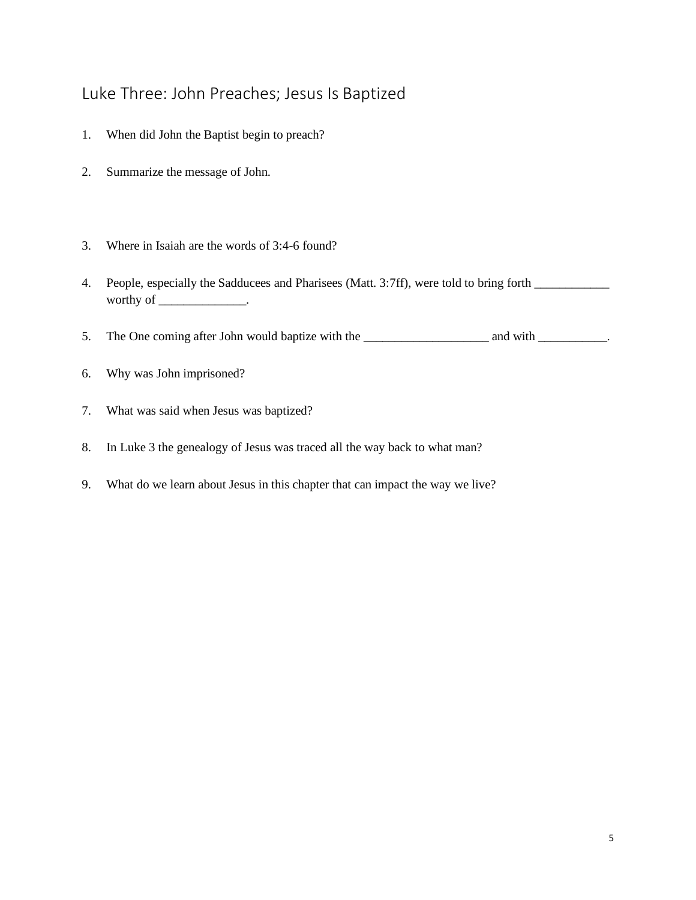## <span id="page-5-0"></span>Luke Three: John Preaches; Jesus Is Baptized

- 1. When did John the Baptist begin to preach?
- 2. Summarize the message of John.
- 3. Where in Isaiah are the words of 3:4-6 found?
- 4. People, especially the Sadducees and Pharisees (Matt. 3:7ff), were told to bring forth \_\_\_\_\_\_\_\_\_\_\_\_ worthy of \_\_\_\_\_\_\_\_\_\_\_\_\_\_\_\_.
- 5. The One coming after John would baptize with the \_\_\_\_\_\_\_\_\_\_\_\_\_\_\_\_\_\_\_\_\_\_\_\_\_\_\_\_\_ and with \_\_\_\_\_\_\_\_\_\_\_.
- 6. Why was John imprisoned?
- 7. What was said when Jesus was baptized?
- 8. In Luke 3 the genealogy of Jesus was traced all the way back to what man?
- 9. What do we learn about Jesus in this chapter that can impact the way we live?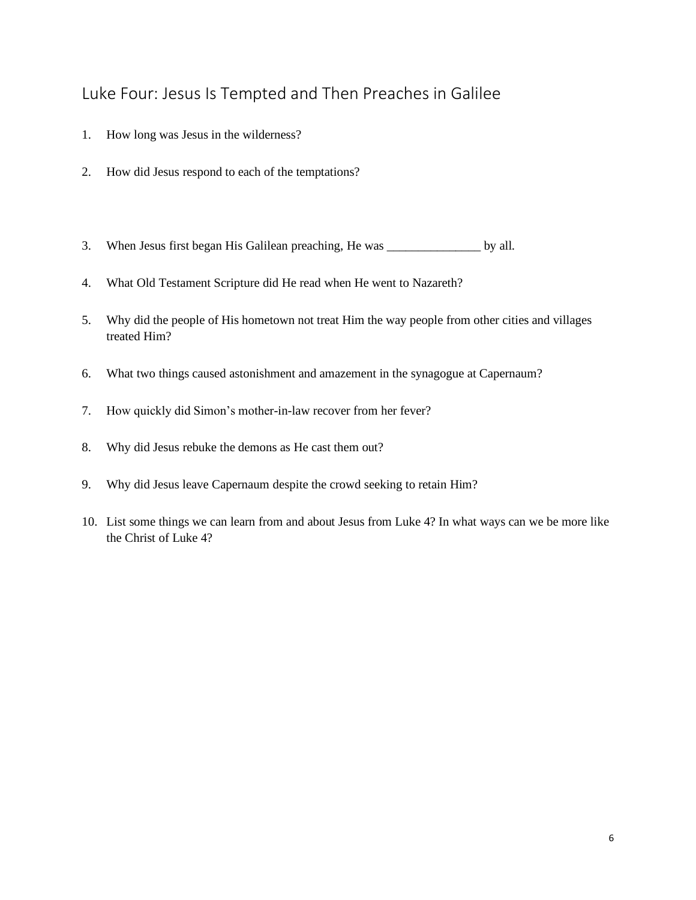## <span id="page-6-0"></span>Luke Four: Jesus Is Tempted and Then Preaches in Galilee

- 1. How long was Jesus in the wilderness?
- 2. How did Jesus respond to each of the temptations?
- 3. When Jesus first began His Galilean preaching, He was \_\_\_\_\_\_\_\_\_\_\_\_\_\_\_ by all.
- 4. What Old Testament Scripture did He read when He went to Nazareth?
- 5. Why did the people of His hometown not treat Him the way people from other cities and villages treated Him?
- 6. What two things caused astonishment and amazement in the synagogue at Capernaum?
- 7. How quickly did Simon's mother-in-law recover from her fever?
- 8. Why did Jesus rebuke the demons as He cast them out?
- 9. Why did Jesus leave Capernaum despite the crowd seeking to retain Him?
- 10. List some things we can learn from and about Jesus from Luke 4? In what ways can we be more like the Christ of Luke 4?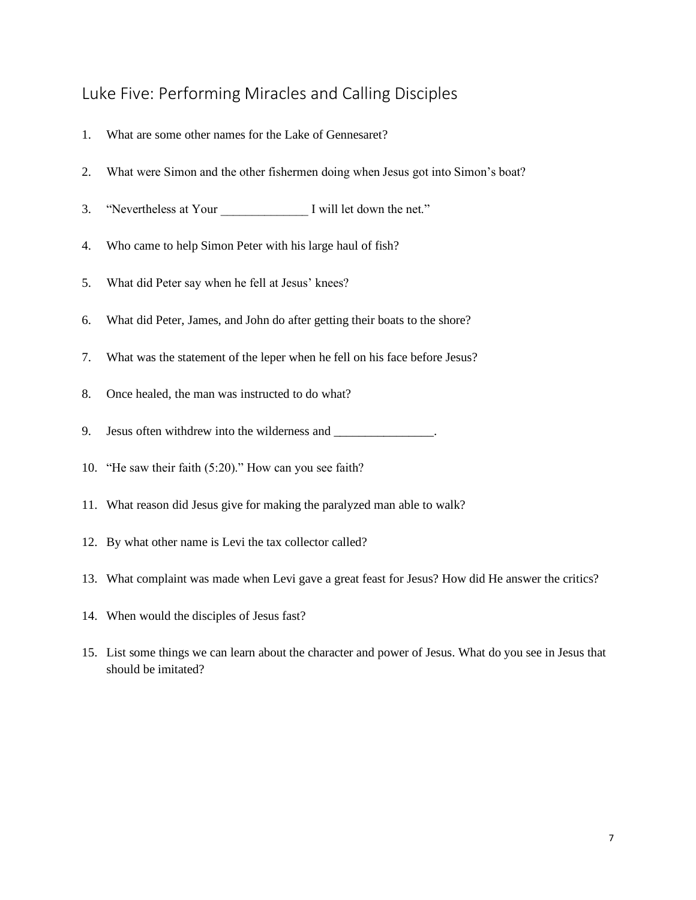# <span id="page-7-0"></span>Luke Five: Performing Miracles and Calling Disciples

- 1. What are some other names for the Lake of Gennesaret?
- 2. What were Simon and the other fishermen doing when Jesus got into Simon's boat?
- 3. "Nevertheless at Your I will let down the net."
- 4. Who came to help Simon Peter with his large haul of fish?
- 5. What did Peter say when he fell at Jesus' knees?
- 6. What did Peter, James, and John do after getting their boats to the shore?
- 7. What was the statement of the leper when he fell on his face before Jesus?
- 8. Once healed, the man was instructed to do what?
- 9. Jesus often withdrew into the wilderness and \_\_\_\_\_\_\_\_\_\_\_\_\_\_\_.
- 10. "He saw their faith (5:20)." How can you see faith?
- 11. What reason did Jesus give for making the paralyzed man able to walk?
- 12. By what other name is Levi the tax collector called?
- 13. What complaint was made when Levi gave a great feast for Jesus? How did He answer the critics?
- 14. When would the disciples of Jesus fast?
- 15. List some things we can learn about the character and power of Jesus. What do you see in Jesus that should be imitated?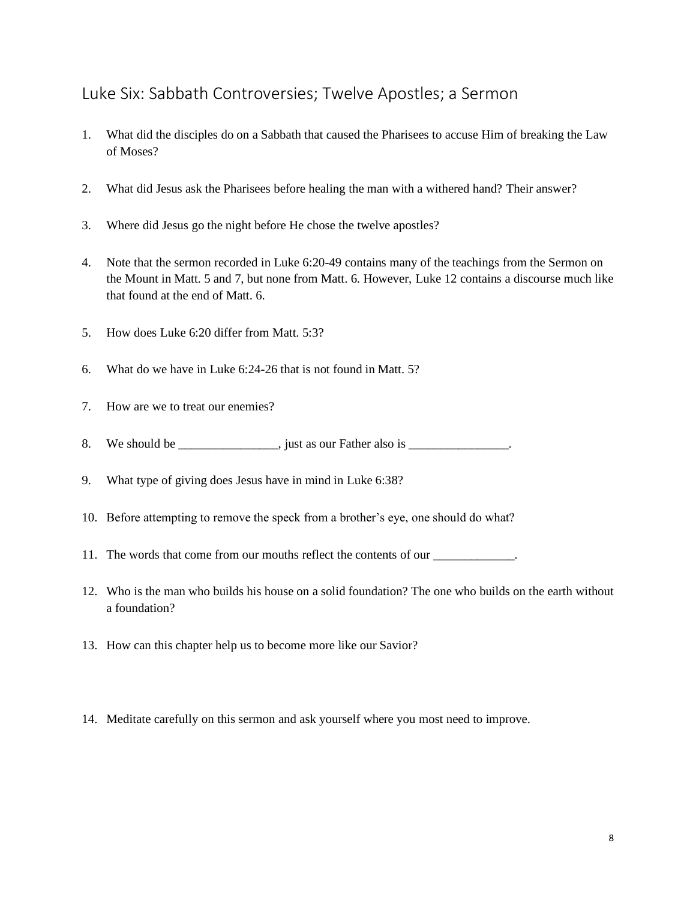#### <span id="page-8-0"></span>Luke Six: Sabbath Controversies; Twelve Apostles; a Sermon

- 1. What did the disciples do on a Sabbath that caused the Pharisees to accuse Him of breaking the Law of Moses?
- 2. What did Jesus ask the Pharisees before healing the man with a withered hand? Their answer?
- 3. Where did Jesus go the night before He chose the twelve apostles?
- 4. Note that the sermon recorded in Luke 6:20-49 contains many of the teachings from the Sermon on the Mount in Matt. 5 and 7, but none from Matt. 6. However, Luke 12 contains a discourse much like that found at the end of Matt. 6.
- 5. How does Luke 6:20 differ from Matt. 5:3?
- 6. What do we have in Luke 6:24-26 that is not found in Matt. 5?
- 7. How are we to treat our enemies?
- 8. We should be  $\frac{1}{\sqrt{1-\frac{1}{n}}}\$  just as our Father also is  $\frac{1}{\sqrt{1-\frac{1}{n}}}\$ .
- 9. What type of giving does Jesus have in mind in Luke 6:38?
- 10. Before attempting to remove the speck from a brother's eye, one should do what?
- 11. The words that come from our mouths reflect the contents of our \_\_\_\_\_\_\_\_\_\_\_\_\_.
- 12. Who is the man who builds his house on a solid foundation? The one who builds on the earth without a foundation?
- 13. How can this chapter help us to become more like our Savior?
- 14. Meditate carefully on this sermon and ask yourself where you most need to improve.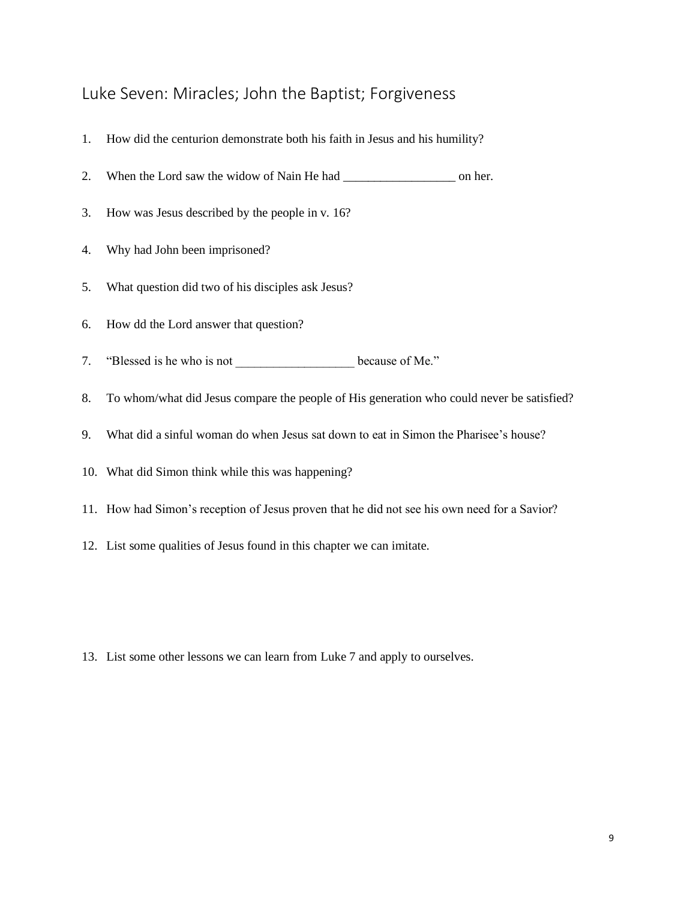#### <span id="page-9-0"></span>Luke Seven: Miracles; John the Baptist; Forgiveness

- 1. How did the centurion demonstrate both his faith in Jesus and his humility?
- 2. When the Lord saw the widow of Nain He had \_\_\_\_\_\_\_\_\_\_\_\_\_\_\_\_\_\_ on her.
- 3. How was Jesus described by the people in v. 16?
- 4. Why had John been imprisoned?
- 5. What question did two of his disciples ask Jesus?
- 6. How dd the Lord answer that question?
- 7. "Blessed is he who is not because of Me."
- 8. To whom/what did Jesus compare the people of His generation who could never be satisfied?
- 9. What did a sinful woman do when Jesus sat down to eat in Simon the Pharisee's house?
- 10. What did Simon think while this was happening?
- 11. How had Simon's reception of Jesus proven that he did not see his own need for a Savior?
- 12. List some qualities of Jesus found in this chapter we can imitate.

13. List some other lessons we can learn from Luke 7 and apply to ourselves.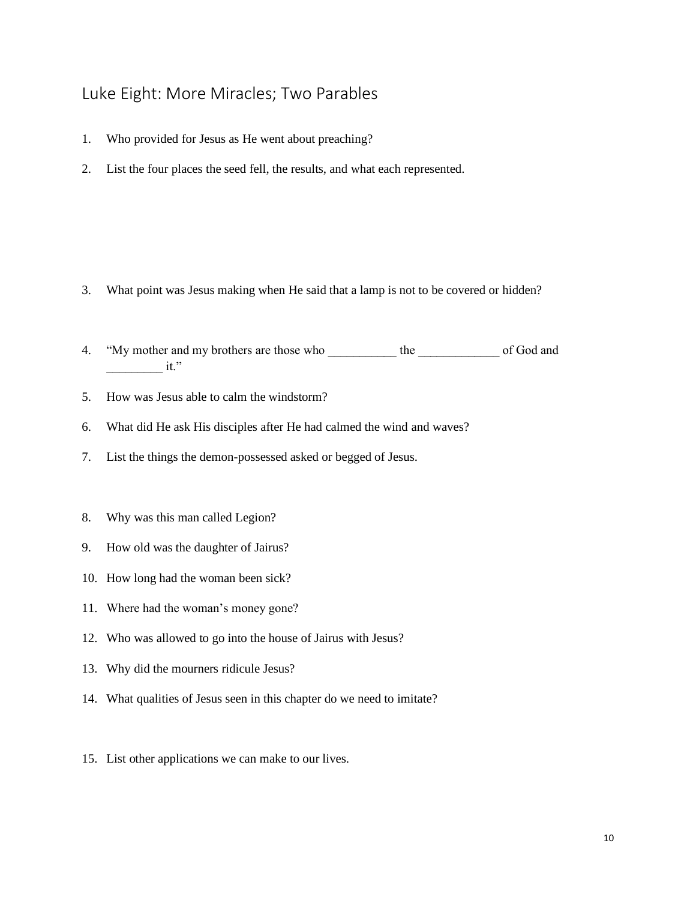# <span id="page-10-0"></span>Luke Eight: More Miracles; Two Parables

- 1. Who provided for Jesus as He went about preaching?
- 2. List the four places the seed fell, the results, and what each represented.

- 3. What point was Jesus making when He said that a lamp is not to be covered or hidden?
- 4. "My mother and my brothers are those who \_\_\_\_\_\_\_\_\_\_\_ the \_\_\_\_\_\_\_\_\_\_\_\_ of God and it."
- 5. How was Jesus able to calm the windstorm?
- 6. What did He ask His disciples after He had calmed the wind and waves?
- 7. List the things the demon-possessed asked or begged of Jesus.
- 8. Why was this man called Legion?
- 9. How old was the daughter of Jairus?
- 10. How long had the woman been sick?
- 11. Where had the woman's money gone?
- 12. Who was allowed to go into the house of Jairus with Jesus?
- 13. Why did the mourners ridicule Jesus?
- 14. What qualities of Jesus seen in this chapter do we need to imitate?
- 15. List other applications we can make to our lives.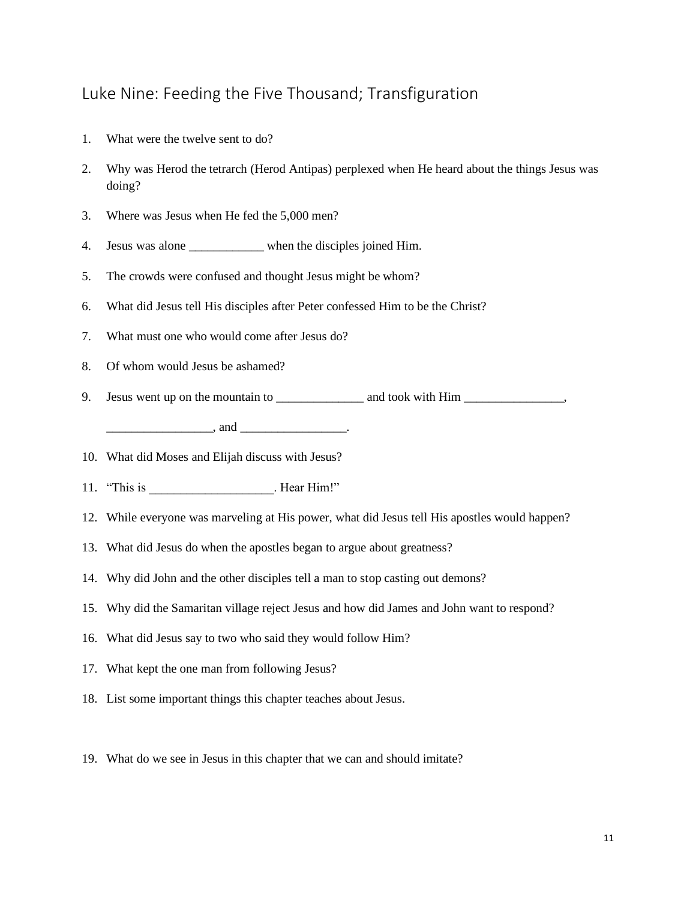#### <span id="page-11-0"></span>Luke Nine: Feeding the Five Thousand; Transfiguration

- 1. What were the twelve sent to do?
- 2. Why was Herod the tetrarch (Herod Antipas) perplexed when He heard about the things Jesus was doing?
- 3. Where was Jesus when He fed the 5,000 men?
- 4. Jesus was alone \_\_\_\_\_\_\_\_\_\_\_\_ when the disciples joined Him.
- 5. The crowds were confused and thought Jesus might be whom?
- 6. What did Jesus tell His disciples after Peter confessed Him to be the Christ?
- 7. What must one who would come after Jesus do?
- 8. Of whom would Jesus be ashamed?
- 9. Jesus went up on the mountain to \_\_\_\_\_\_\_\_\_\_\_\_\_\_ and took with Him \_\_\_\_\_\_\_\_\_\_\_\_

 $\Box$  and  $\Box$ 

- 10. What did Moses and Elijah discuss with Jesus?
- 11. "This is Service Theorem 11. Hear Him!"
- 12. While everyone was marveling at His power, what did Jesus tell His apostles would happen?
- 13. What did Jesus do when the apostles began to argue about greatness?
- 14. Why did John and the other disciples tell a man to stop casting out demons?
- 15. Why did the Samaritan village reject Jesus and how did James and John want to respond?
- 16. What did Jesus say to two who said they would follow Him?
- 17. What kept the one man from following Jesus?
- 18. List some important things this chapter teaches about Jesus.
- 19. What do we see in Jesus in this chapter that we can and should imitate?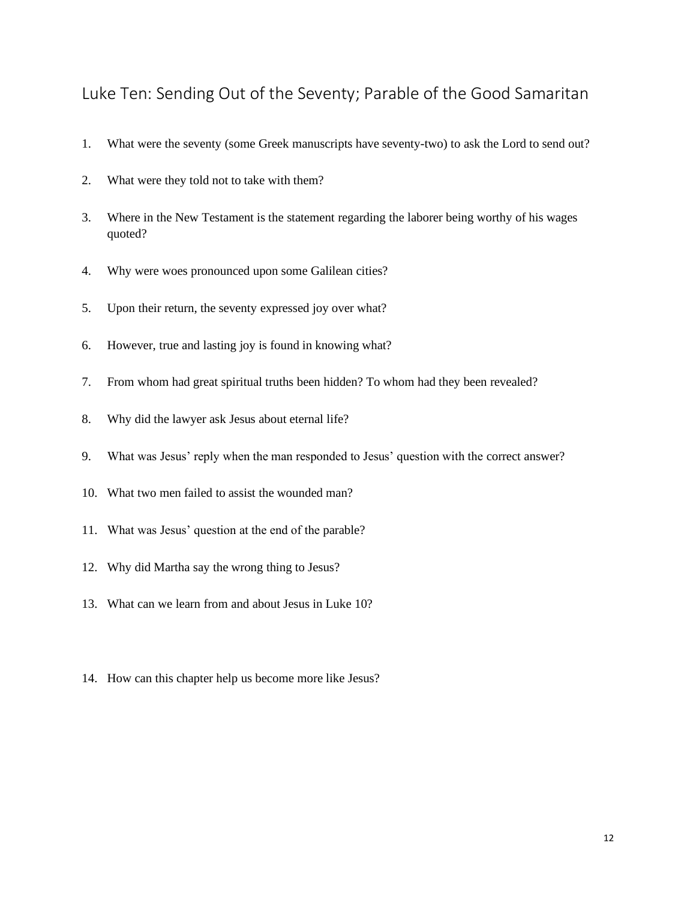#### <span id="page-12-0"></span>Luke Ten: Sending Out of the Seventy; Parable of the Good Samaritan

- 1. What were the seventy (some Greek manuscripts have seventy-two) to ask the Lord to send out?
- 2. What were they told not to take with them?
- 3. Where in the New Testament is the statement regarding the laborer being worthy of his wages quoted?
- 4. Why were woes pronounced upon some Galilean cities?
- 5. Upon their return, the seventy expressed joy over what?
- 6. However, true and lasting joy is found in knowing what?
- 7. From whom had great spiritual truths been hidden? To whom had they been revealed?
- 8. Why did the lawyer ask Jesus about eternal life?
- 9. What was Jesus' reply when the man responded to Jesus' question with the correct answer?
- 10. What two men failed to assist the wounded man?
- 11. What was Jesus' question at the end of the parable?
- 12. Why did Martha say the wrong thing to Jesus?
- 13. What can we learn from and about Jesus in Luke 10?
- 14. How can this chapter help us become more like Jesus?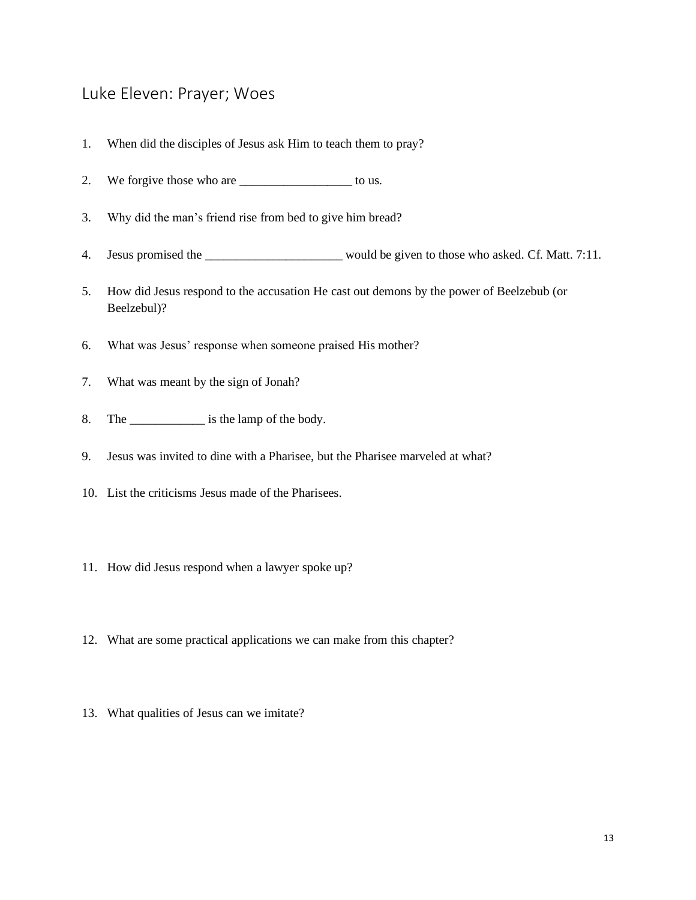#### <span id="page-13-0"></span>Luke Eleven: Prayer; Woes

- 1. When did the disciples of Jesus ask Him to teach them to pray?
- 2. We forgive those who are \_\_\_\_\_\_\_\_\_\_\_\_\_\_\_\_\_\_\_\_ to us.
- 3. Why did the man's friend rise from bed to give him bread?
- 4. Jesus promised the \_\_\_\_\_\_\_\_\_\_\_\_\_\_\_\_\_\_\_\_\_\_ would be given to those who asked. Cf. Matt. 7:11.
- 5. How did Jesus respond to the accusation He cast out demons by the power of Beelzebub (or Beelzebul)?
- 6. What was Jesus' response when someone praised His mother?
- 7. What was meant by the sign of Jonah?
- 8. The same is the lamp of the body.
- 9. Jesus was invited to dine with a Pharisee, but the Pharisee marveled at what?
- 10. List the criticisms Jesus made of the Pharisees.
- 11. How did Jesus respond when a lawyer spoke up?
- 12. What are some practical applications we can make from this chapter?
- 13. What qualities of Jesus can we imitate?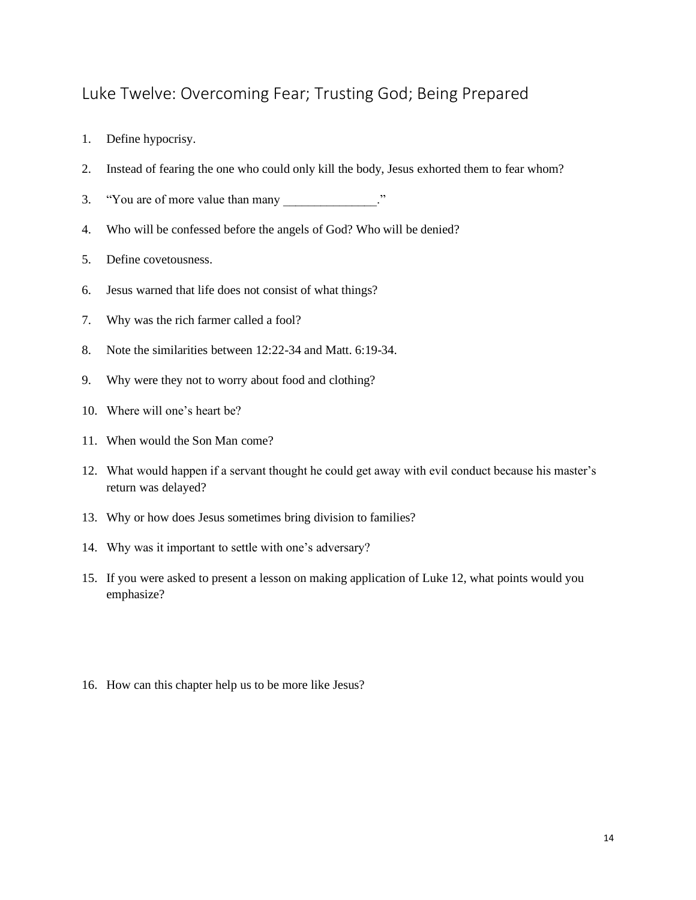## <span id="page-14-0"></span>Luke Twelve: Overcoming Fear; Trusting God; Being Prepared

- 1. Define hypocrisy.
- 2. Instead of fearing the one who could only kill the body, Jesus exhorted them to fear whom?
- 3. "You are of more value than many "
- 4. Who will be confessed before the angels of God? Who will be denied?
- 5. Define covetousness.
- 6. Jesus warned that life does not consist of what things?
- 7. Why was the rich farmer called a fool?
- 8. Note the similarities between 12:22-34 and Matt. 6:19-34.
- 9. Why were they not to worry about food and clothing?
- 10. Where will one's heart be?
- 11. When would the Son Man come?
- 12. What would happen if a servant thought he could get away with evil conduct because his master's return was delayed?
- 13. Why or how does Jesus sometimes bring division to families?
- 14. Why was it important to settle with one's adversary?
- 15. If you were asked to present a lesson on making application of Luke 12, what points would you emphasize?
- 16. How can this chapter help us to be more like Jesus?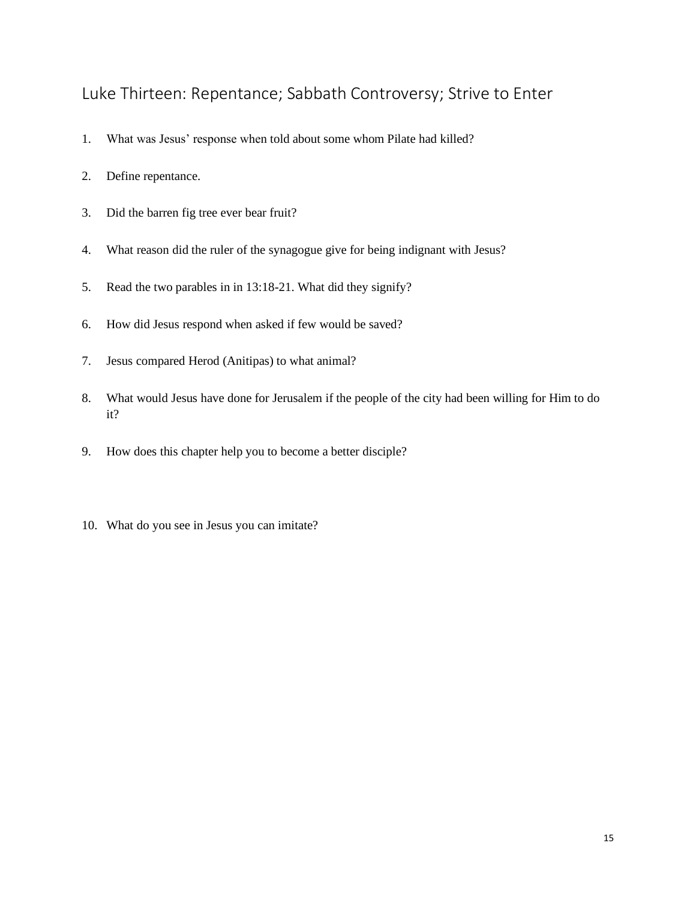#### <span id="page-15-0"></span>Luke Thirteen: Repentance; Sabbath Controversy; Strive to Enter

- 1. What was Jesus' response when told about some whom Pilate had killed?
- 2. Define repentance.
- 3. Did the barren fig tree ever bear fruit?
- 4. What reason did the ruler of the synagogue give for being indignant with Jesus?
- 5. Read the two parables in in 13:18-21. What did they signify?
- 6. How did Jesus respond when asked if few would be saved?
- 7. Jesus compared Herod (Anitipas) to what animal?
- 8. What would Jesus have done for Jerusalem if the people of the city had been willing for Him to do it?
- 9. How does this chapter help you to become a better disciple?
- 10. What do you see in Jesus you can imitate?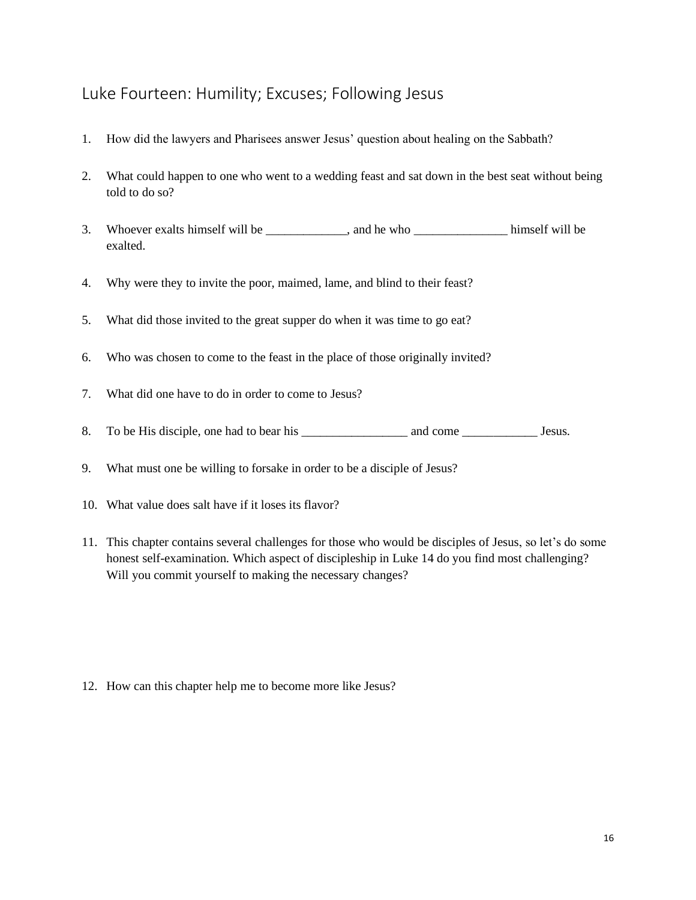## <span id="page-16-0"></span>Luke Fourteen: Humility; Excuses; Following Jesus

- 1. How did the lawyers and Pharisees answer Jesus' question about healing on the Sabbath?
- 2. What could happen to one who went to a wedding feast and sat down in the best seat without being told to do so?
- 3. Whoever exalts himself will be \_\_\_\_\_\_\_\_\_\_\_, and he who \_\_\_\_\_\_\_\_\_\_\_\_\_\_\_ himself will be exalted.
- 4. Why were they to invite the poor, maimed, lame, and blind to their feast?
- 5. What did those invited to the great supper do when it was time to go eat?
- 6. Who was chosen to come to the feast in the place of those originally invited?
- 7. What did one have to do in order to come to Jesus?
- 8. To be His disciple, one had to bear his \_\_\_\_\_\_\_\_\_\_\_\_\_\_\_\_\_ and come \_\_\_\_\_\_\_\_\_\_\_\_ Jesus.
- 9. What must one be willing to forsake in order to be a disciple of Jesus?
- 10. What value does salt have if it loses its flavor?
- 11. This chapter contains several challenges for those who would be disciples of Jesus, so let's do some honest self-examination. Which aspect of discipleship in Luke 14 do you find most challenging? Will you commit yourself to making the necessary changes?

12. How can this chapter help me to become more like Jesus?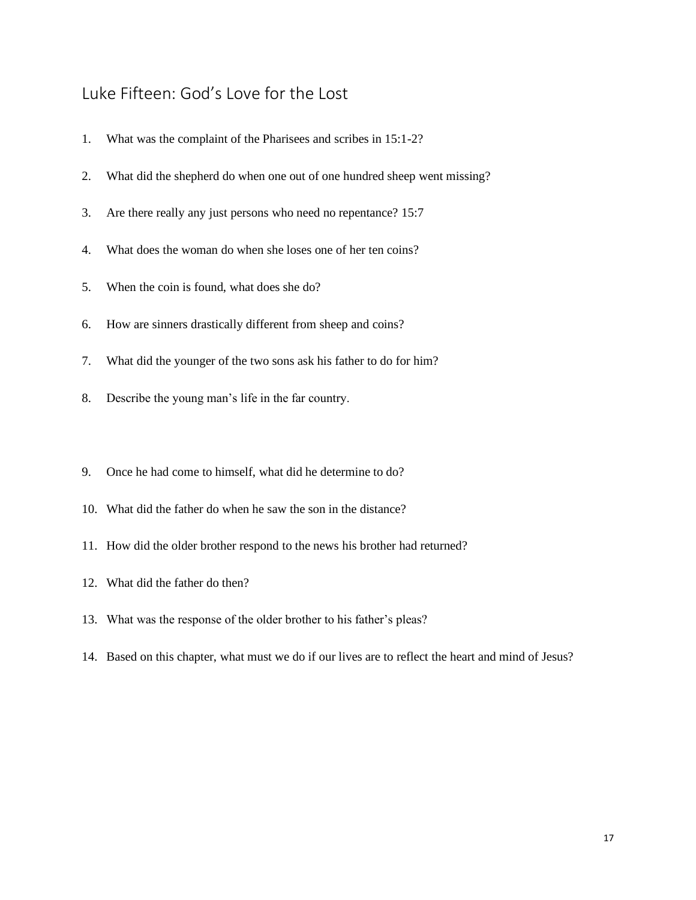# <span id="page-17-0"></span>Luke Fifteen: God's Love for the Lost

| 1.  | What was the complaint of the Pharisees and scribes in 15:1-2?              |
|-----|-----------------------------------------------------------------------------|
| 2.  | What did the shepherd do when one out of one hundred sheep went missing?    |
| 3.  | Are there really any just persons who need no repentance? 15:7              |
| 4.  | What does the woman do when she loses one of her ten coins?                 |
| 5.  | When the coin is found, what does she do?                                   |
| 6.  | How are sinners drastically different from sheep and coins?                 |
| 7.  | What did the younger of the two sons ask his father to do for him?          |
| 8.  | Describe the young man's life in the far country.                           |
|     |                                                                             |
| 9.  | Once he had come to himself, what did he determine to do?                   |
| 10. | What did the father do when he saw the son in the distance?                 |
|     | 11. How did the older brother respond to the news his brother had returned? |
|     | 12. What did the father do then?                                            |
|     | 13. What was the response of the older brother to his father's pleas?       |

14. Based on this chapter, what must we do if our lives are to reflect the heart and mind of Jesus?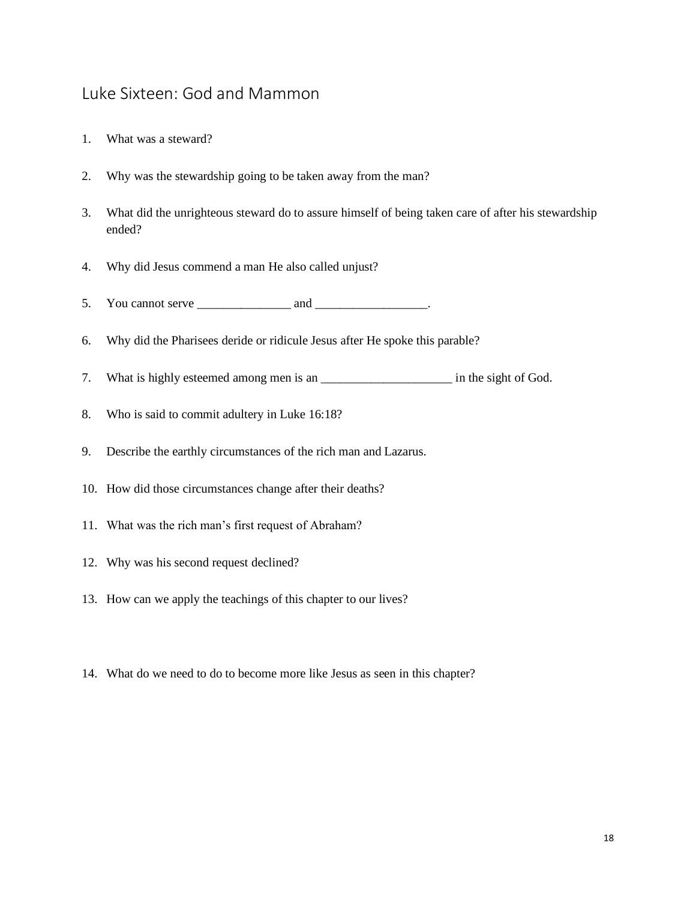#### <span id="page-18-0"></span>Luke Sixteen: God and Mammon

- 1. What was a steward?
- 2. Why was the stewardship going to be taken away from the man?
- 3. What did the unrighteous steward do to assure himself of being taken care of after his stewardship ended?
- 4. Why did Jesus commend a man He also called unjust?
- 5. You cannot serve  $\frac{1}{\sqrt{1-\frac{1}{2}}}\$  and  $\frac{1}{\sqrt{1-\frac{1}{2}}}\$ .
- 6. Why did the Pharisees deride or ridicule Jesus after He spoke this parable?
- 7. What is highly esteemed among men is an \_\_\_\_\_\_\_\_\_\_\_\_\_\_\_\_\_\_\_\_\_\_\_\_\_\_ in the sight of God.
- 8. Who is said to commit adultery in Luke 16:18?
- 9. Describe the earthly circumstances of the rich man and Lazarus.
- 10. How did those circumstances change after their deaths?
- 11. What was the rich man's first request of Abraham?
- 12. Why was his second request declined?
- 13. How can we apply the teachings of this chapter to our lives?
- 14. What do we need to do to become more like Jesus as seen in this chapter?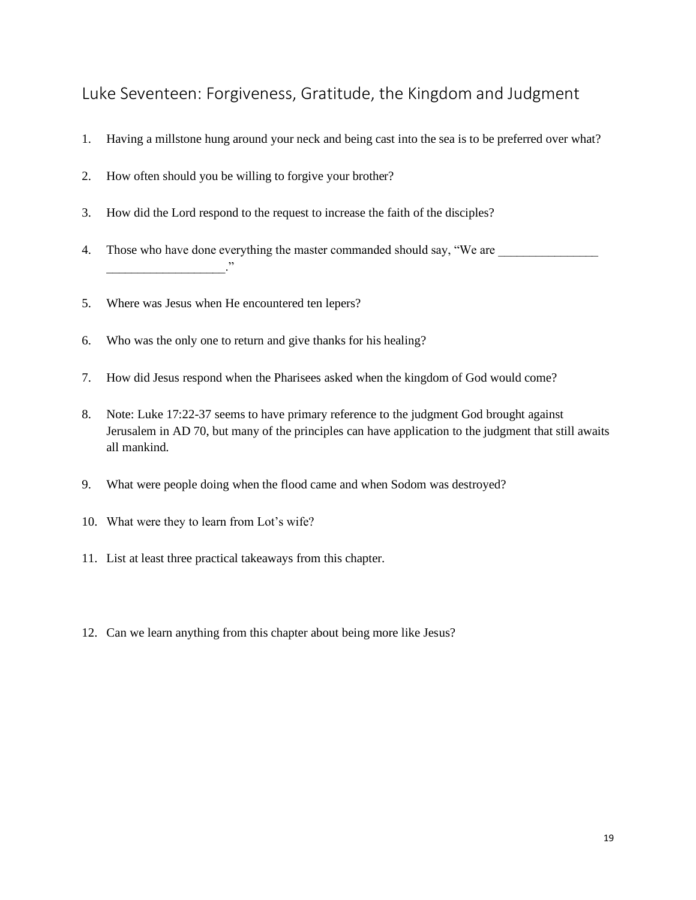#### <span id="page-19-0"></span>Luke Seventeen: Forgiveness, Gratitude, the Kingdom and Judgment

- 1. Having a millstone hung around your neck and being cast into the sea is to be preferred over what?
- 2. How often should you be willing to forgive your brother?
- 3. How did the Lord respond to the request to increase the faith of the disciples?
- 4. Those who have done everything the master commanded should say, "We are \_\_\_\_\_\_\_\_\_\_\_\_\_\_\_\_  $\overline{\phantom{a}}$
- 5. Where was Jesus when He encountered ten lepers?
- 6. Who was the only one to return and give thanks for his healing?
- 7. How did Jesus respond when the Pharisees asked when the kingdom of God would come?
- 8. Note: Luke 17:22-37 seems to have primary reference to the judgment God brought against Jerusalem in AD 70, but many of the principles can have application to the judgment that still awaits all mankind.
- 9. What were people doing when the flood came and when Sodom was destroyed?
- 10. What were they to learn from Lot's wife?
- 11. List at least three practical takeaways from this chapter.
- 12. Can we learn anything from this chapter about being more like Jesus?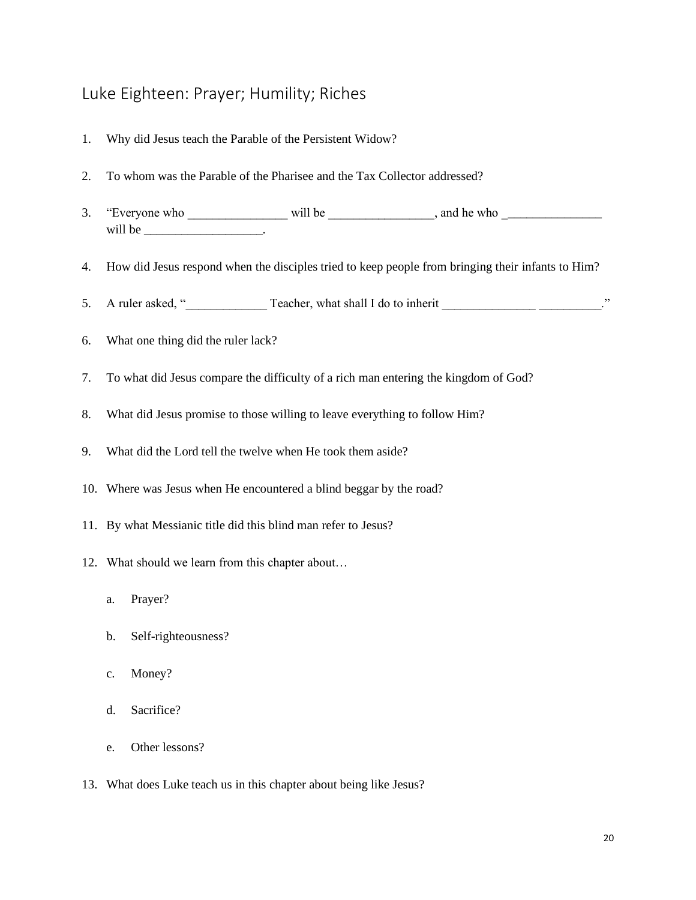#### <span id="page-20-0"></span>Luke Eighteen: Prayer; Humility; Riches

- 1. Why did Jesus teach the Parable of the Persistent Widow?
- 2. To whom was the Parable of the Pharisee and the Tax Collector addressed?
- 3. "Everyone who \_\_\_\_\_\_\_\_\_\_\_\_\_\_\_\_\_\_\_\_\_\_\_ will be \_\_\_\_\_\_\_\_\_\_\_\_\_\_\_\_, and he who \_\_\_\_\_\_\_\_\_\_\_\_\_\_\_\_\_\_\_\_\_\_ will be  $\qquad \qquad \ldots$
- 4. How did Jesus respond when the disciples tried to keep people from bringing their infants to Him?
- 5. A ruler asked, "\_\_\_\_\_\_\_\_\_\_\_\_\_ Teacher, what shall I do to inherit \_\_\_\_\_\_\_\_\_\_\_\_\_\_\_ \_\_\_\_\_\_\_\_\_\_."
- 6. What one thing did the ruler lack?
- 7. To what did Jesus compare the difficulty of a rich man entering the kingdom of God?
- 8. What did Jesus promise to those willing to leave everything to follow Him?
- 9. What did the Lord tell the twelve when He took them aside?
- 10. Where was Jesus when He encountered a blind beggar by the road?
- 11. By what Messianic title did this blind man refer to Jesus?
- 12. What should we learn from this chapter about…
	- a. Prayer?
	- b. Self-righteousness?
	- c. Money?
	- d. Sacrifice?
	- e. Other lessons?
- 13. What does Luke teach us in this chapter about being like Jesus?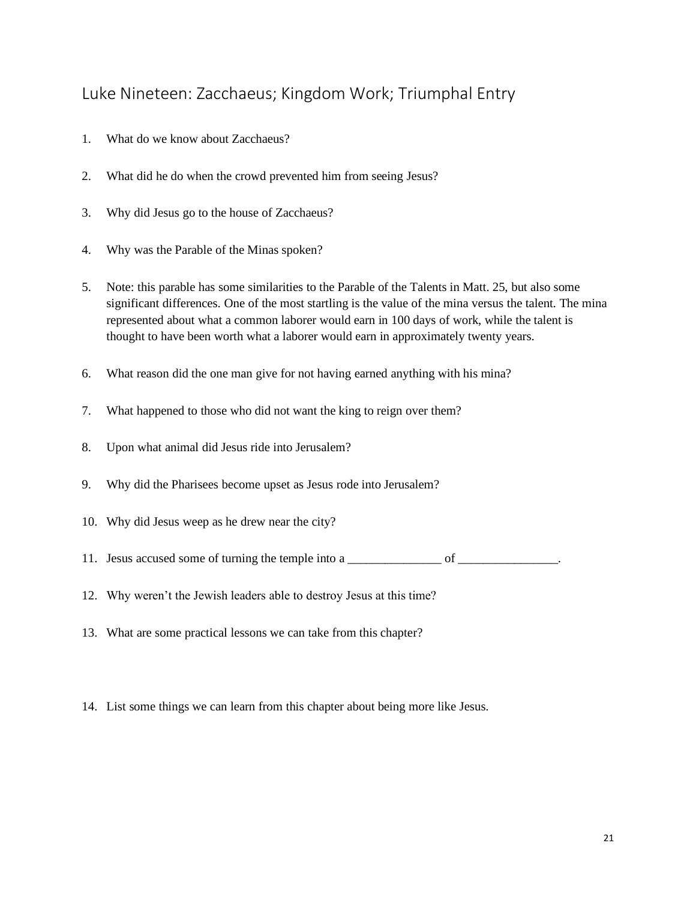#### <span id="page-21-0"></span>Luke Nineteen: Zacchaeus; Kingdom Work; Triumphal Entry

- 1. What do we know about Zacchaeus?
- 2. What did he do when the crowd prevented him from seeing Jesus?
- 3. Why did Jesus go to the house of Zacchaeus?
- 4. Why was the Parable of the Minas spoken?
- 5. Note: this parable has some similarities to the Parable of the Talents in Matt. 25, but also some significant differences. One of the most startling is the value of the mina versus the talent. The mina represented about what a common laborer would earn in 100 days of work, while the talent is thought to have been worth what a laborer would earn in approximately twenty years.
- 6. What reason did the one man give for not having earned anything with his mina?
- 7. What happened to those who did not want the king to reign over them?
- 8. Upon what animal did Jesus ride into Jerusalem?
- 9. Why did the Pharisees become upset as Jesus rode into Jerusalem?
- 10. Why did Jesus weep as he drew near the city?
- 11. Jesus accused some of turning the temple into a \_\_\_\_\_\_\_\_\_\_\_\_\_\_\_\_ of \_\_\_\_\_\_\_\_\_\_\_\_\_.
- 12. Why weren't the Jewish leaders able to destroy Jesus at this time?
- 13. What are some practical lessons we can take from this chapter?
- 14. List some things we can learn from this chapter about being more like Jesus.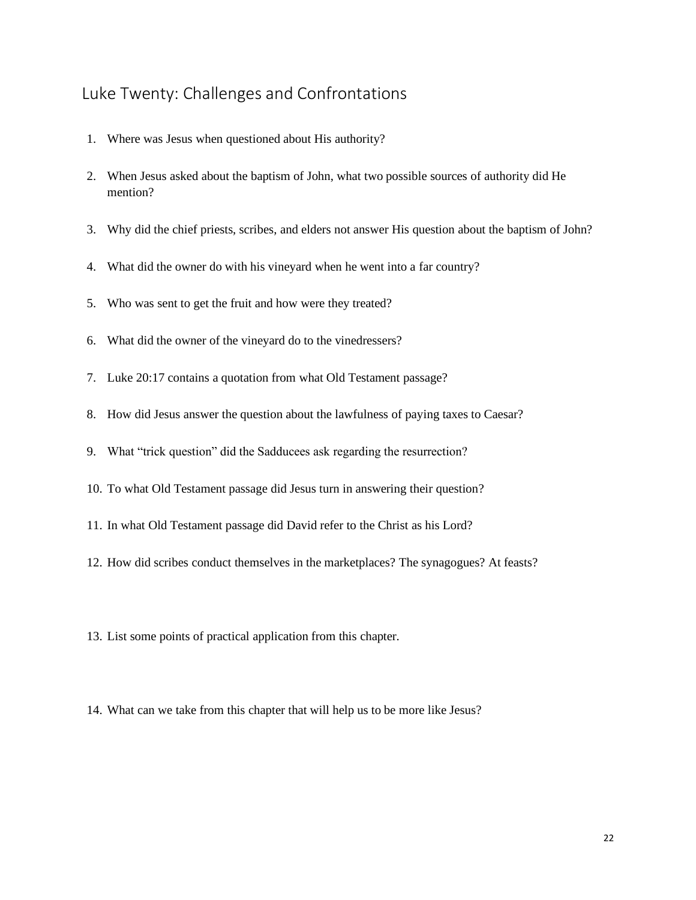#### <span id="page-22-0"></span>Luke Twenty: Challenges and Confrontations

- 1. Where was Jesus when questioned about His authority?
- 2. When Jesus asked about the baptism of John, what two possible sources of authority did He mention?
- 3. Why did the chief priests, scribes, and elders not answer His question about the baptism of John?
- 4. What did the owner do with his vineyard when he went into a far country?
- 5. Who was sent to get the fruit and how were they treated?
- 6. What did the owner of the vineyard do to the vinedressers?
- 7. Luke 20:17 contains a quotation from what Old Testament passage?
- 8. How did Jesus answer the question about the lawfulness of paying taxes to Caesar?
- 9. What "trick question" did the Sadducees ask regarding the resurrection?
- 10. To what Old Testament passage did Jesus turn in answering their question?
- 11. In what Old Testament passage did David refer to the Christ as his Lord?
- 12. How did scribes conduct themselves in the marketplaces? The synagogues? At feasts?
- 13. List some points of practical application from this chapter.
- 14. What can we take from this chapter that will help us to be more like Jesus?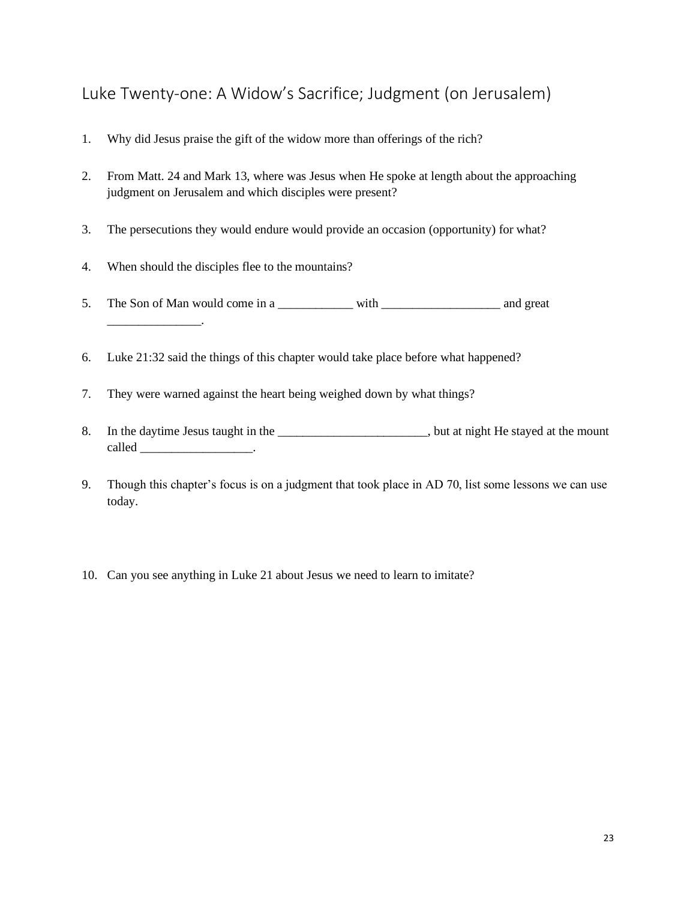## <span id="page-23-0"></span>Luke Twenty-one: A Widow's Sacrifice; Judgment (on Jerusalem)

- 1. Why did Jesus praise the gift of the widow more than offerings of the rich?
- 2. From Matt. 24 and Mark 13, where was Jesus when He spoke at length about the approaching judgment on Jerusalem and which disciples were present?
- 3. The persecutions they would endure would provide an occasion (opportunity) for what?
- 4. When should the disciples flee to the mountains?
- 5. The Son of Man would come in a \_\_\_\_\_\_\_\_\_\_\_\_\_ with \_\_\_\_\_\_\_\_\_\_\_\_\_\_\_\_\_\_\_\_\_\_\_\_\_\_ and great \_\_\_\_\_\_\_\_\_\_\_\_\_\_\_.
- 6. Luke 21:32 said the things of this chapter would take place before what happened?
- 7. They were warned against the heart being weighed down by what things?
- 8. In the daytime Jesus taught in the \_\_\_\_\_\_\_\_\_\_\_\_\_\_\_\_\_\_\_\_\_\_\_, but at night He stayed at the mount called \_\_\_\_\_\_\_\_\_\_\_\_\_\_\_\_\_\_\_\_\_\_.
- 9. Though this chapter's focus is on a judgment that took place in AD 70, list some lessons we can use today.
- 10. Can you see anything in Luke 21 about Jesus we need to learn to imitate?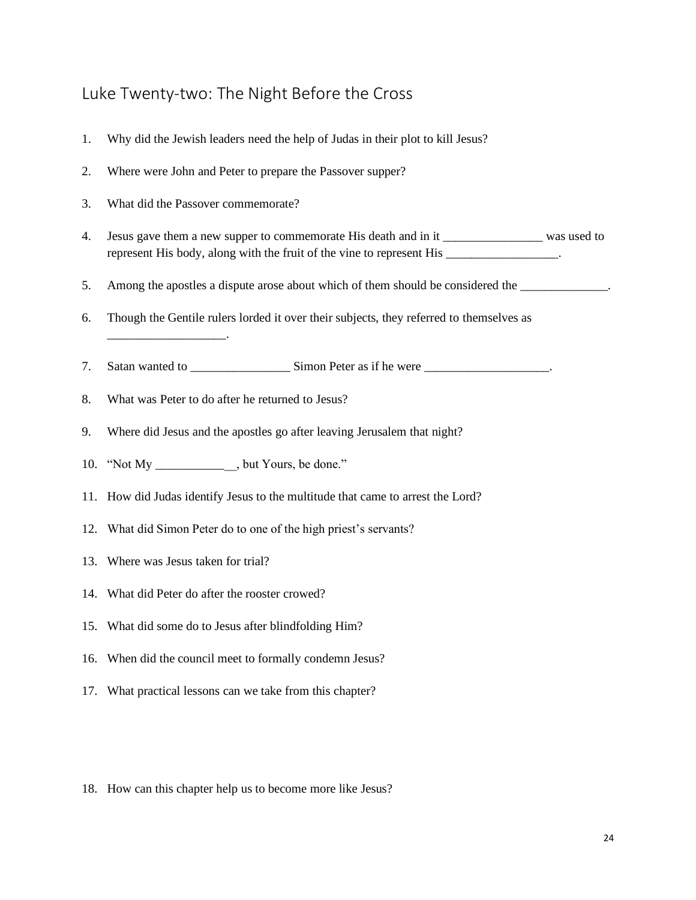#### <span id="page-24-0"></span>Luke Twenty-two: The Night Before the Cross

- 1. Why did the Jewish leaders need the help of Judas in their plot to kill Jesus?
- 2. Where were John and Peter to prepare the Passover supper?
- 3. What did the Passover commemorate?

 $\mathcal{L}$ 

- 4. Jesus gave them a new supper to commemorate His death and in it \_\_\_\_\_\_\_\_\_\_\_\_\_\_\_\_ was used to represent His body, along with the fruit of the vine to represent His \_\_\_\_\_\_\_\_\_\_\_\_\_\_\_\_\_.
- 5. Among the apostles a dispute arose about which of them should be considered the \_\_\_\_\_\_\_\_\_\_\_\_\_.
- 6. Though the Gentile rulers lorded it over their subjects, they referred to themselves as
- 7. Satan wanted to \_\_\_\_\_\_\_\_\_\_\_\_\_\_\_\_\_\_\_\_Simon Peter as if he were \_\_\_\_\_\_\_\_\_\_\_\_\_\_\_\_\_\_\_\_\_\_.
- 8. What was Peter to do after he returned to Jesus?
- 9. Where did Jesus and the apostles go after leaving Jerusalem that night?
- 10. "Not My \_\_\_\_\_\_\_\_\_\_\_\_\_, but Yours, be done."
- 11. How did Judas identify Jesus to the multitude that came to arrest the Lord?
- 12. What did Simon Peter do to one of the high priest's servants?
- 13. Where was Jesus taken for trial?
- 14. What did Peter do after the rooster crowed?
- 15. What did some do to Jesus after blindfolding Him?
- 16. When did the council meet to formally condemn Jesus?
- 17. What practical lessons can we take from this chapter?
- 18. How can this chapter help us to become more like Jesus?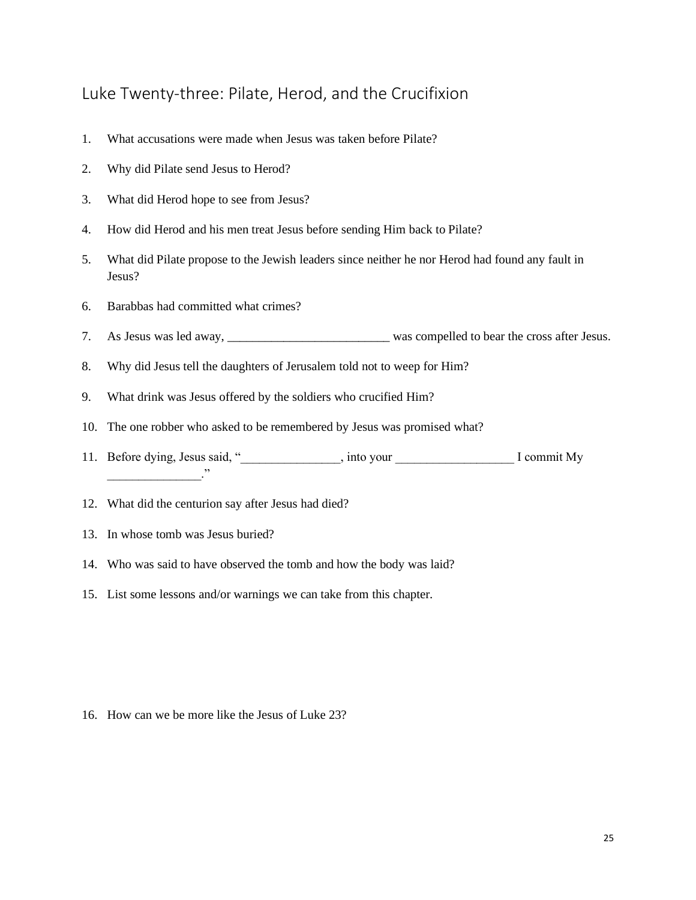#### <span id="page-25-0"></span>Luke Twenty-three: Pilate, Herod, and the Crucifixion

- 1. What accusations were made when Jesus was taken before Pilate?
- 2. Why did Pilate send Jesus to Herod?
- 3. What did Herod hope to see from Jesus?
- 4. How did Herod and his men treat Jesus before sending Him back to Pilate?
- 5. What did Pilate propose to the Jewish leaders since neither he nor Herod had found any fault in Jesus?
- 6. Barabbas had committed what crimes?
- 7. As Jesus was led away, \_\_\_\_\_\_\_\_\_\_\_\_\_\_\_\_\_\_\_\_\_\_\_\_\_\_ was compelled to bear the cross after Jesus.
- 8. Why did Jesus tell the daughters of Jerusalem told not to weep for Him?
- 9. What drink was Jesus offered by the soldiers who crucified Him?
- 10. The one robber who asked to be remembered by Jesus was promised what?
- 11. Before dying, Jesus said, "\_\_\_\_\_\_\_\_\_\_\_\_\_\_\_\_, into your \_\_\_\_\_\_\_\_\_\_\_\_\_\_\_\_\_\_\_ I commit My  $\ddots$
- 12. What did the centurion say after Jesus had died?
- 13. In whose tomb was Jesus buried?
- 14. Who was said to have observed the tomb and how the body was laid?
- 15. List some lessons and/or warnings we can take from this chapter.

16. How can we be more like the Jesus of Luke 23?